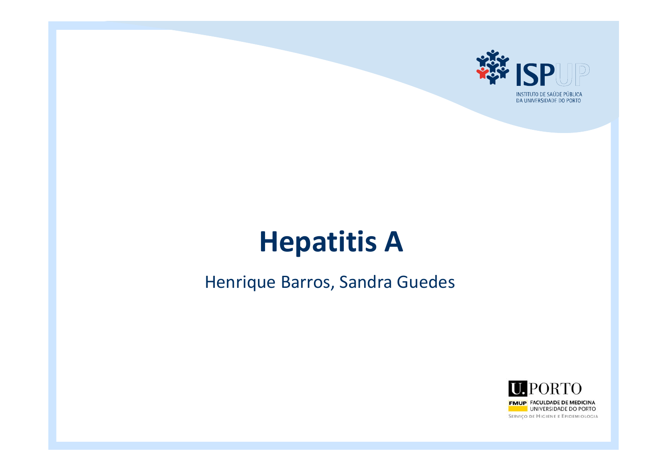

# **Hepatitis A**

#### Henrique Barros, Sandra Guedes

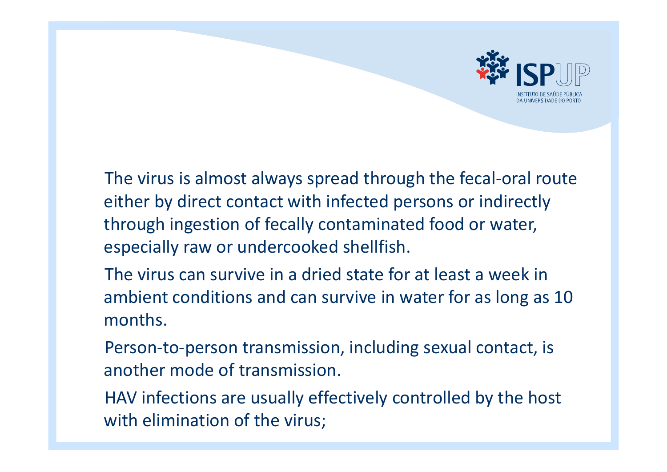

The virus is almost always spread through the fecal‐oral route either by direct contact with infected persons or indirectly through ingestion of fecally contaminated food or water, especially raw or undercooked shellfish.

The virus can survive in <sup>a</sup> dried state for at least <sup>a</sup> week in ambient conditions and can survive in water for as long as 10 months.

Person‐to‐person transmission, including sexual contact, is another mode of transmission.

HAV infections are usually effectively controlled by the host with elimination of the virus;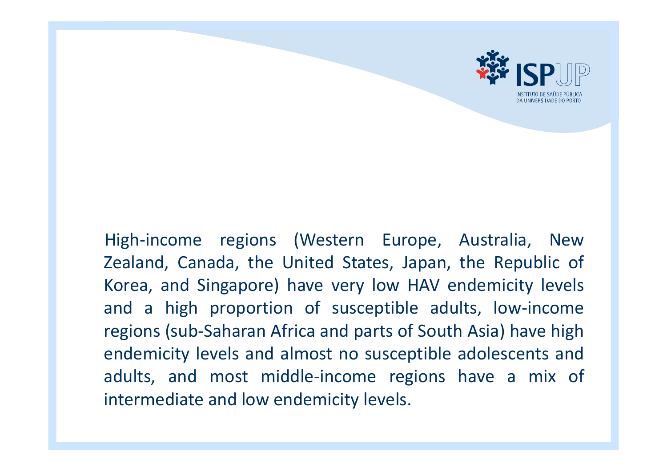

## High‐income regions (Western Europe, Australia, New Zealand, Canada, the United States, Japan, the Republic of Korea, and Singapore) have very low HAV endemicity levels and <sup>a</sup> high proportion of susceptible adults, low‐income regions (sub‐Saharan Africa and parts of South Asia) have high endemicity levels and almost no susceptible adolescents and adults, and most middle‐income regions have <sup>a</sup> mix of intermediate and low endemicity levels.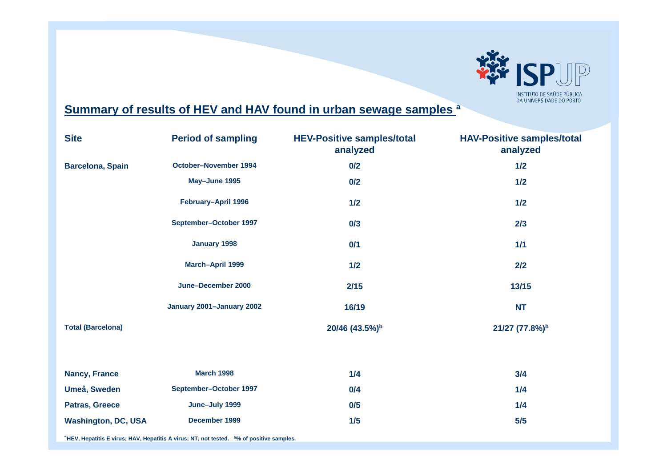

#### **Summary of results of HEV and HAV found in urban sewage samples ª**

| <b>Site</b>                | <b>Period of sampling</b> | <b>HEV-Positive samples/total</b><br>analyzed | <b>HAV-Positive samples/total</b><br>analyzed |
|----------------------------|---------------------------|-----------------------------------------------|-----------------------------------------------|
| <b>Barcelona, Spain</b>    | October-November 1994     | 0/2                                           | 1/2                                           |
|                            | May-June 1995             | 0/2                                           | 1/2                                           |
|                            | February-April 1996       | 1/2                                           | 1/2                                           |
|                            | September-October 1997    | 0/3                                           | 2/3                                           |
|                            | January 1998              | 0/1                                           | 1/1                                           |
|                            | March-April 1999          | 1/2                                           | 2/2                                           |
|                            | June-December 2000        | 2/15                                          | 13/15                                         |
|                            | January 2001-January 2002 | 16/19                                         | <b>NT</b>                                     |
| <b>Total (Barcelona)</b>   |                           | 20/46 (43.5%)b                                | 21/27 (77.8%)b                                |
| <b>Nancy, France</b>       | <b>March 1998</b>         | 1/4                                           | 3/4                                           |
| Umeå, Sweden               | September-October 1997    | 0/4                                           | 1/4                                           |
| Patras, Greece             | June-July 1999            | 0/5                                           | 1/4                                           |
| <b>Washington, DC, USA</b> | December 1999             | 1/5                                           | 5/5                                           |

<sup>°</sup> HEV, Hepatitis E virus; HAV, Hepatitis A virus; NT, not tested. <sup>b%</sup> of positive samples.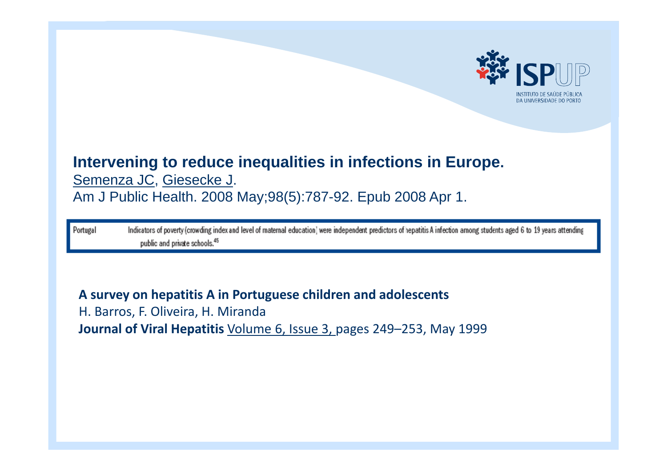

## **Intervening to reduce inequalities in infections in Europe.** [Semenza JC](http://www.ncbi.nlm.nih.gov/pubmed?term="Semenza JC"[Author])[, Giesecke J](http://www.ncbi.nlm.nih.gov/pubmed?term="Giesecke J"[Author]).

Am J Public Health. 2008 May;98(5):787-92. Epub 2008 Apr 1.

Indicators of poverty (crowding index and level of maternal education) were independent predictors of hepatitis A infection among students aged 6 to 19 years attending Portugal public and private schools.<sup>45</sup>

**A survey on hepatitis A in Portuguese children and adolescents** H. Barros, F. Oliveira, H. Miranda **Journal of Viral Hepatitis** [Volume](http://onlinelibrary.wiley.com/doi/10.1111/jvh.1999.6.issue-3/issuetoc) 6, Issue 3, pages 249–253, May 1999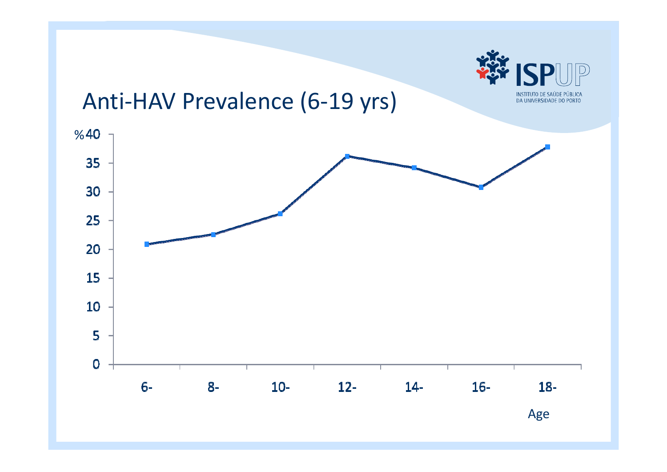

## Anti‐HAV Prevalence (6‐19 yrs)

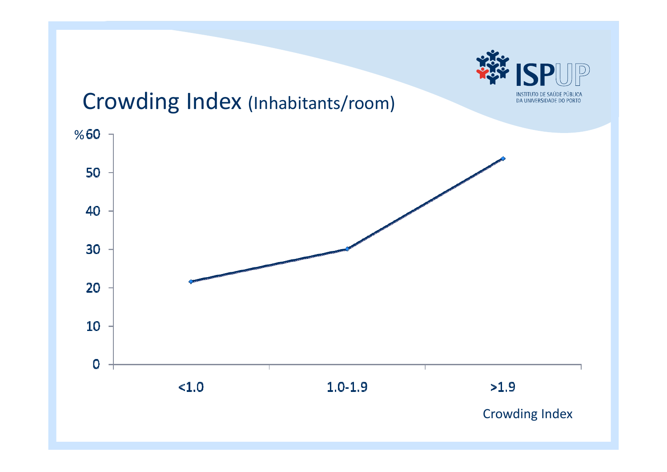

## Crowding Index (Inhabitants/room)

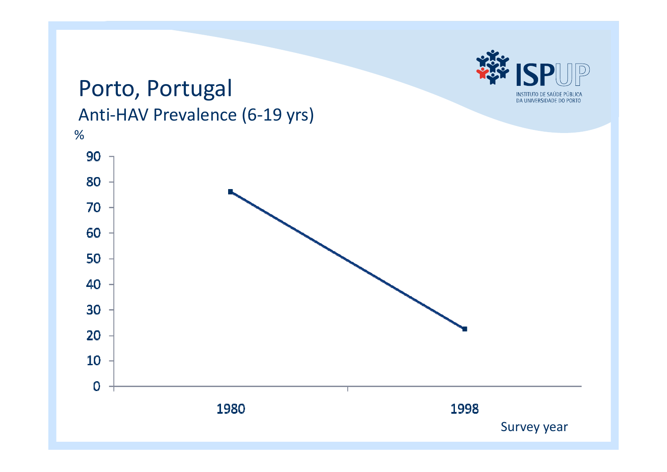

## Porto, Portugal Anti‐HAV Prevalence (6‐19 yrs)

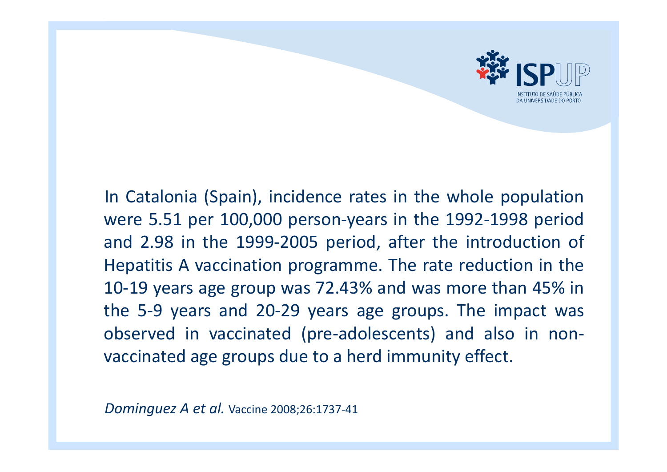

In Catalonia (Spain), incidence rates in the whole population were 5.51 per 100,000 person ‐years in the 1992 ‐1998 period and 2.98 in the 1999 ‐2005 period, after the introduction of Hepatitis A vaccination programme. The rate reduction in the 10 ‐19 years age group was 72.43% and was more than 45% in the 5 ‐9 years and 20 ‐29 years age groups. The impact was observed in vaccinated (pre ‐adolescents) and also in non ‐ vaccinated age groups due to <sup>a</sup> herd immunity effect.

*Dominguez A et al.* Vaccine 2008;26:1737‐<sup>41</sup>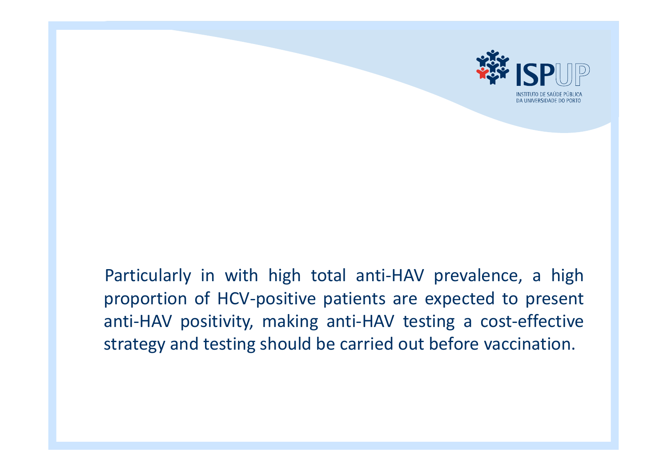

### Particularly in with high total anti ‐HAV prevalence, <sup>a</sup> high proportion of HCV ‐positive patients are expected to present anti-HAV positivity, making anti-HAV testing a cost-effective strategy and testing should be carried out before vaccination.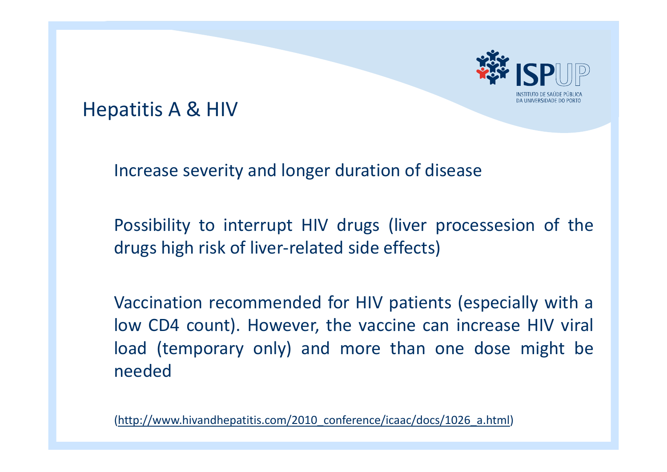

## Hepatitis A & HIV

Increase severity and longer duration of disease

Possibility to interrupt HIV drugs (liver processesion of the drugs high risk of liver‐related side effects)

Vaccination recommended for HIV patients (especially with <sup>a</sup> low CD4 count). However, the vaccine can increase HIV viral load (temporary only) and more than one dose might be needed

(h[ttp://www.hivandhepatitis.com/2010\\_conference/icaac/docs/1026\\_a.html](http://www.hivandhepatitis.com/2010_conference/icaac/docs/1026_a.html))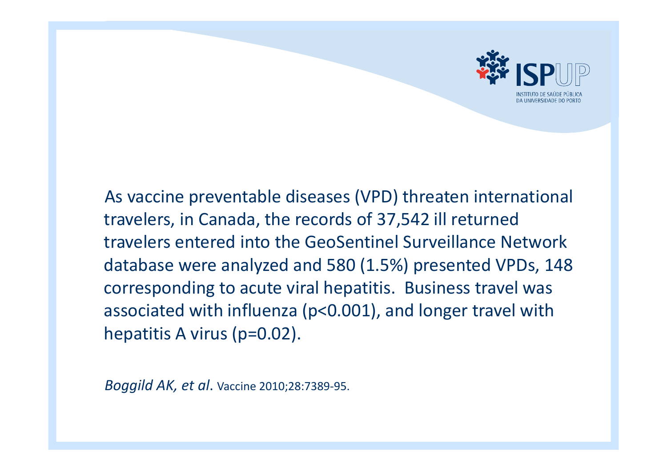

As vaccine preventable diseases (VPD) threaten international travelers, in Canada, the records of 37,542 ill returned travelers entered into the GeoSentinel Surveillance Network database were analyzed and 580 (1.5%) presented VPDs, 148 corresponding to acute viral hepatitis. Business travel was associated with influenza (p<0.001), and longer travel with hepatitis A virus (p=0.02).

*Boggild AK, et al*. Vaccine 2010;28:7389‐95.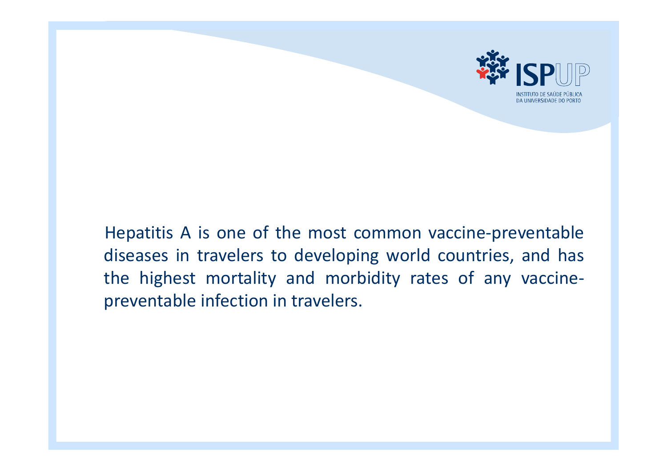

Hepatitis A is one of the most common vaccine ‐preventable diseases in travelers to developing world countries, and has the highest mortality and morbidity rates of any vaccine ‐ preventable infection in travelers.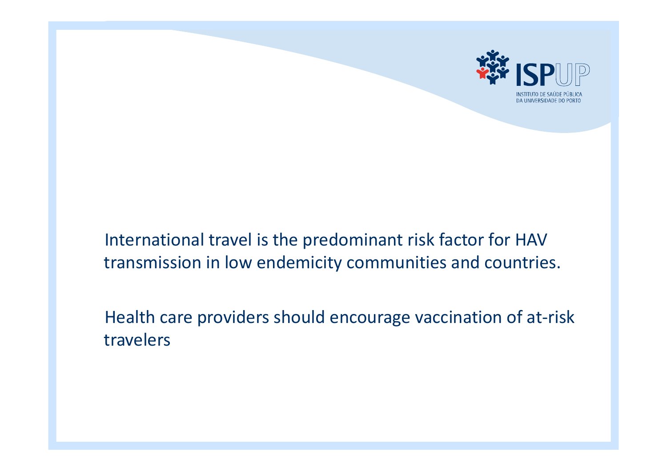

#### International travel is the predominant risk factor for HAV transmission in low endemicity communities and countries.

Health care providers should encourage vaccination of at‐risk travelers